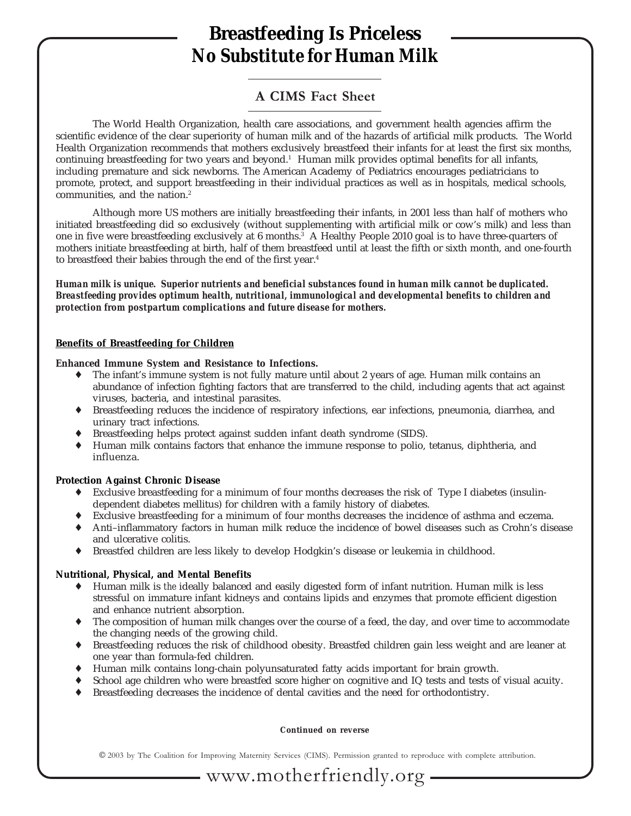# **Breastfeeding Is Priceless** *No Substitute for Human Milk*

### A CIMS Fact Sheet

The World Health Organization, health care associations, and government health agencies affirm the scientific evidence of the clear superiority of human milk and of the hazards of artificial milk products. The World Health Organization recommends that mothers exclusively breastfeed their infants for at least the first six months, continuing breastfeeding for two years and beyond.1 Human milk provides optimal benefits for all infants, including premature and sick newborns. The American Academy of Pediatrics encourages pediatricians to promote, protect, and support breastfeeding in their individual practices as well as in hospitals, medical schools, communities, and the nation.<sup>2</sup>

Although more US mothers are initially breastfeeding their infants, in 2001 less than half of mothers who initiated breastfeeding did so exclusively (without supplementing with artificial milk or cow's milk) and less than one in five were breastfeeding exclusively at 6 months.3 A Healthy People 2010 goal is to have three-quarters of mothers initiate breastfeeding at birth, half of them breastfeed until at least the fifth or sixth month, and one-fourth to breastfeed their babies through the end of the first year.<sup>4</sup>

*Human milk is unique. Superior nutrients and beneficial substances found in human milk cannot be duplicated. Breastfeeding provides optimum health, nutritional, immunological and developmental benefits to children and protection from postpartum complications and future disease for mothers.*

### **Benefits of Breastfeeding for Children**

### **Enhanced Immune System and Resistance to Infections.**

- ♦ The infant's immune system is not fully mature until about 2 years of age. Human milk contains an abundance of infection fighting factors that are transferred to the child, including agents that act against viruses, bacteria, and intestinal parasites.
- Breastfeeding reduces the incidence of respiratory infections, ear infections, pneumonia, diarrhea, and urinary tract infections.
- ♦ Breastfeeding helps protect against sudden infant death syndrome (SIDS).
- ♦ Human milk contains factors that enhance the immune response to polio, tetanus, diphtheria, and influenza.

### **Protection Against Chronic Disease**

- ♦ Exclusive breastfeeding for a minimum of four months decreases the risk of Type I diabetes (insulindependent diabetes mellitus) for children with a family history of diabetes.
- Exclusive breastfeeding for a minimum of four months decreases the incidence of asthma and eczema.
- ♦ Anti–inflammatory factors in human milk reduce the incidence of bowel diseases such as Crohn's disease and ulcerative colitis.
- ♦ Breastfed children are less likely to develop Hodgkin's disease or leukemia in childhood.

### **Nutritional, Physical, and Mental Benefits**

- ♦ Human milk is *the* ideally balanced and easily digested form of infant nutrition. Human milk is less stressful on immature infant kidneys and contains lipids and enzymes that promote efficient digestion and enhance nutrient absorption.
- The composition of human milk changes over the course of a feed, the day, and over time to accommodate the changing needs of the growing child.
- Breastfeeding reduces the risk of childhood obesity. Breastfed children gain less weight and are leaner at one year than formula-fed children.
- ♦ Human milk contains long-chain polyunsaturated fatty acids important for brain growth.
- School age children who were breastfed score higher on cognitive and IQ tests and tests of visual acuity.
- Breastfeeding decreases the incidence of dental cavities and the need for orthodontistry.

#### **Continued on reverse**

© 2003 by The Coalition for Improving Maternity Services (CIMS). Permission granted to reproduce with complete attribution.

- www.motherfriendly.org -